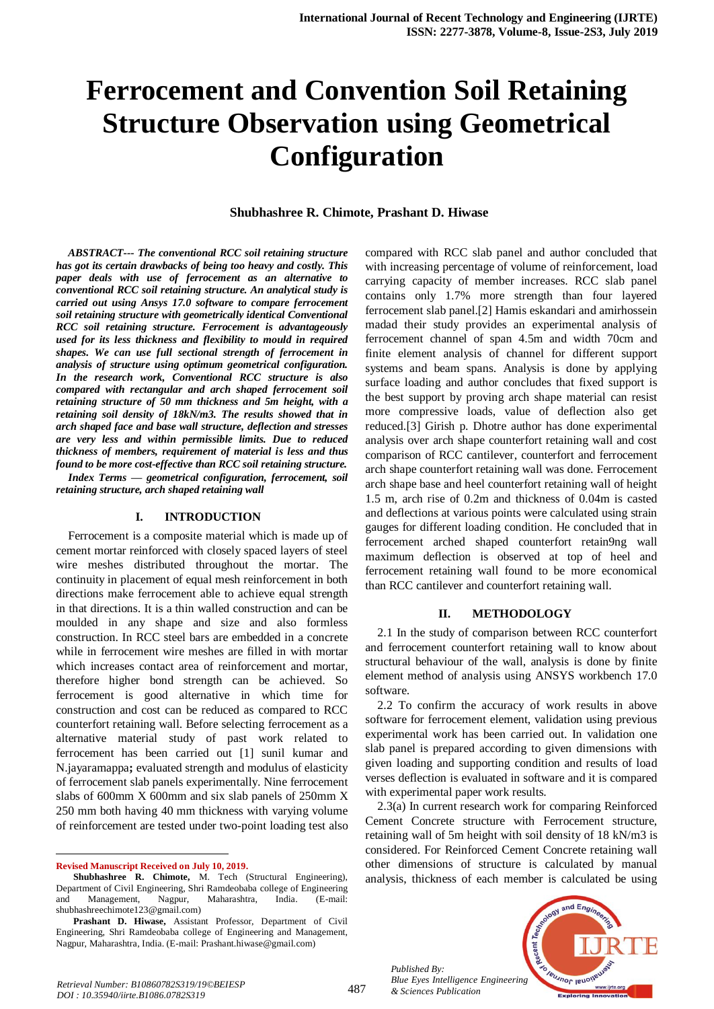# **Ferrocement and Convention Soil Retaining Structure Observation using Geometrical Configuration**

#### **Shubhashree R. Chimote, Prashant D. Hiwase**

*ABSTRACT--- The conventional RCC soil retaining structure has got its certain drawbacks of being too heavy and costly. This paper deals with use of ferrocement as an alternative to conventional RCC soil retaining structure. An analytical study is carried out using Ansys 17.0 software to compare ferrocement soil retaining structure with geometrically identical Conventional RCC soil retaining structure. Ferrocement is advantageously used for its less thickness and flexibility to mould in required shapes. We can use full sectional strength of ferrocement in analysis of structure using optimum geometrical configuration. In the research work, Conventional RCC structure is also compared with rectangular and arch shaped ferrocement soil retaining structure of 50 mm thickness and 5m height, with a retaining soil density of 18kN/m3. The results showed that in arch shaped face and base wall structure, deflection and stresses are very less and within permissible limits. Due to reduced thickness of members, requirement of material is less and thus found to be more cost-effective than RCC soil retaining structure. Index Terms — geometrical configuration, ferrocement, soil* 

*retaining structure, arch shaped retaining wall*

#### **I. INTRODUCTION**

Ferrocement is a composite material which is made up of cement mortar reinforced with closely spaced layers of steel wire meshes distributed throughout the mortar. The continuity in placement of equal mesh reinforcement in both directions make ferrocement able to achieve equal strength in that directions. It is a thin walled construction and can be moulded in any shape and size and also formless construction. In RCC steel bars are embedded in a concrete while in ferrocement wire meshes are filled in with mortar which increases contact area of reinforcement and mortar, therefore higher bond strength can be achieved. So ferrocement is good alternative in which time for construction and cost can be reduced as compared to RCC counterfort retaining wall. Before selecting ferrocement as a alternative material study of past work related to ferrocement has been carried out [1] sunil kumar and N.jayaramappa**;** evaluated strength and modulus of elasticity of ferrocement slab panels experimentally. Nine ferrocement slabs of 600mm X 600mm and six slab panels of 250mm X 250 mm both having 40 mm thickness with varying volume of reinforcement are tested under two-point loading test also

**Revised Manuscript Received on July 10, 2019.**

 $\overline{a}$ 

compared with RCC slab panel and author concluded that with increasing percentage of volume of reinforcement, load carrying capacity of member increases. RCC slab panel contains only 1.7% more strength than four layered ferrocement slab panel.[2] Hamis eskandari and amirhossein madad their study provides an experimental analysis of ferrocement channel of span 4.5m and width 70cm and finite element analysis of channel for different support systems and beam spans. Analysis is done by applying surface loading and author concludes that fixed support is the best support by proving arch shape material can resist more compressive loads, value of deflection also get reduced.[3] Girish p. Dhotre author has done experimental analysis over arch shape counterfort retaining wall and cost comparison of RCC cantilever, counterfort and ferrocement arch shape counterfort retaining wall was done. Ferrocement arch shape base and heel counterfort retaining wall of height 1.5 m, arch rise of 0.2m and thickness of 0.04m is casted and deflections at various points were calculated using strain gauges for different loading condition. He concluded that in ferrocement arched shaped counterfort retain9ng wall maximum deflection is observed at top of heel and ferrocement retaining wall found to be more economical than RCC cantilever and counterfort retaining wall.

#### **II. METHODOLOGY**

2.1 In the study of comparison between RCC counterfort and ferrocement counterfort retaining wall to know about structural behaviour of the wall, analysis is done by finite element method of analysis using ANSYS workbench 17.0 software.

2.2 To confirm the accuracy of work results in above software for ferrocement element, validation using previous experimental work has been carried out. In validation one slab panel is prepared according to given dimensions with given loading and supporting condition and results of load verses deflection is evaluated in software and it is compared with experimental paper work results.

2.3(a) In current research work for comparing Reinforced Cement Concrete structure with Ferrocement structure, retaining wall of 5m height with soil density of 18 kN/m3 is considered. For Reinforced Cement Concrete retaining wall other dimensions of structure is calculated by manual analysis, thickness of each member is calculated be using

*Published By: Blue Eyes Intelligence Engineering & Sciences Publication* 



**Shubhashree R. Chimote,** M. Tech (Structural Engineering), Department of Civil Engineering, Shri Ramdeobaba college of Engineering and Management, Nagpur, Maharashtra, India. (E-mail: shubhashreechimote123@gmail.com)

**Prashant D. Hiwase,** Assistant Professor, Department of Civil Engineering, Shri Ramdeobaba college of Engineering and Management, Nagpur, Maharashtra, India. (E-mail: Prashant.hiwase@gmail.com)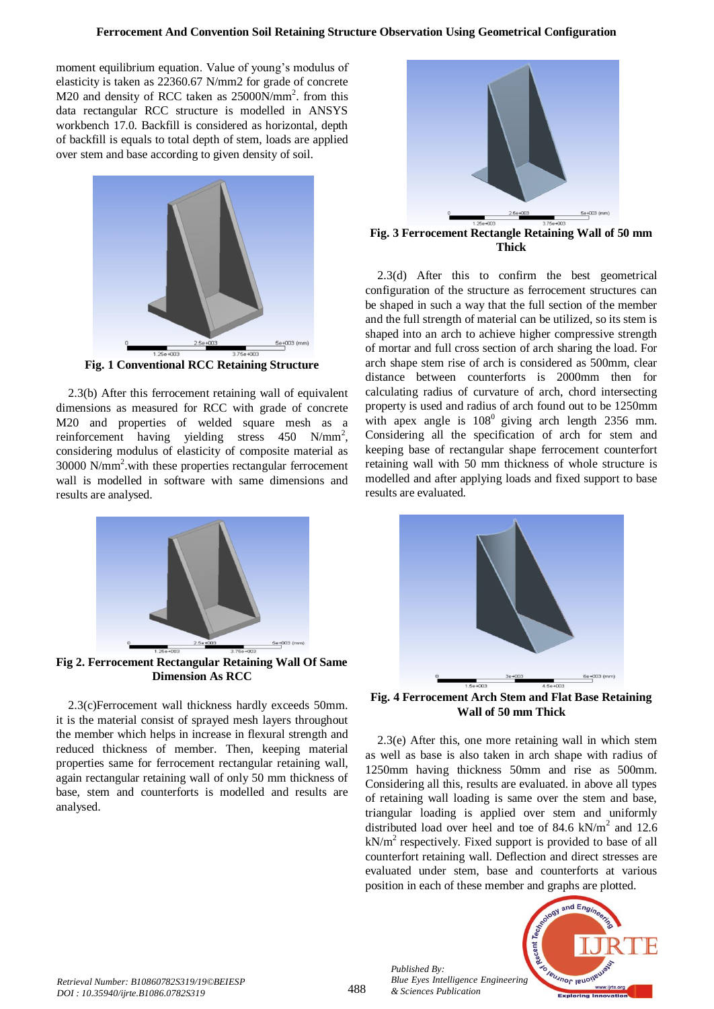moment equilibrium equation. Value of young's modulus of elasticity is taken as 22360.67 N/mm2 for grade of concrete M20 and density of RCC taken as 25000N/mm<sup>2</sup>. from this data rectangular RCC structure is modelled in ANSYS workbench 17.0. Backfill is considered as horizontal, depth of backfill is equals to total depth of stem, loads are applied over stem and base according to given density of soil.



**Fig. 1 Conventional RCC Retaining Structure**

2.3(b) After this ferrocement retaining wall of equivalent dimensions as measured for RCC with grade of concrete M20 and properties of welded square mesh as a reinforcement having yielding stress  $450 \text{ N/mm}^2$ , considering modulus of elasticity of composite material as 30000 N/mm<sup>2</sup> .with these properties rectangular ferrocement wall is modelled in software with same dimensions and results are analysed.



**Fig 2. Ferrocement Rectangular Retaining Wall Of Same Dimension As RCC**

2.3(c)Ferrocement wall thickness hardly exceeds 50mm. it is the material consist of sprayed mesh layers throughout the member which helps in increase in flexural strength and reduced thickness of member. Then, keeping material properties same for ferrocement rectangular retaining wall, again rectangular retaining wall of only 50 mm thickness of base, stem and counterforts is modelled and results are analysed.



**Fig. 3 Ferrocement Rectangle Retaining Wall of 50 mm Thick**

2.3(d) After this to confirm the best geometrical configuration of the structure as ferrocement structures can be shaped in such a way that the full section of the member and the full strength of material can be utilized, so its stem is shaped into an arch to achieve higher compressive strength of mortar and full cross section of arch sharing the load. For arch shape stem rise of arch is considered as 500mm, clear distance between counterforts is 2000mm then for calculating radius of curvature of arch, chord intersecting property is used and radius of arch found out to be 1250mm with apex angle is  $108^{\circ}$  giving arch length 2356 mm. Considering all the specification of arch for stem and keeping base of rectangular shape ferrocement counterfort retaining wall with 50 mm thickness of whole structure is modelled and after applying loads and fixed support to base results are evaluated.



**Fig. 4 Ferrocement Arch Stem and Flat Base Retaining Wall of 50 mm Thick**

2.3(e) After this, one more retaining wall in which stem as well as base is also taken in arch shape with radius of 1250mm having thickness 50mm and rise as 500mm. Considering all this, results are evaluated. in above all types of retaining wall loading is same over the stem and base, triangular loading is applied over stem and uniformly distributed load over heel and toe of 84.6  $kN/m^2$  and 12.6  $kN/m<sup>2</sup>$  respectively. Fixed support is provided to base of all counterfort retaining wall. Deflection and direct stresses are evaluated under stem, base and counterforts at various position in each of these member and graphs are plotted.



*Published By:*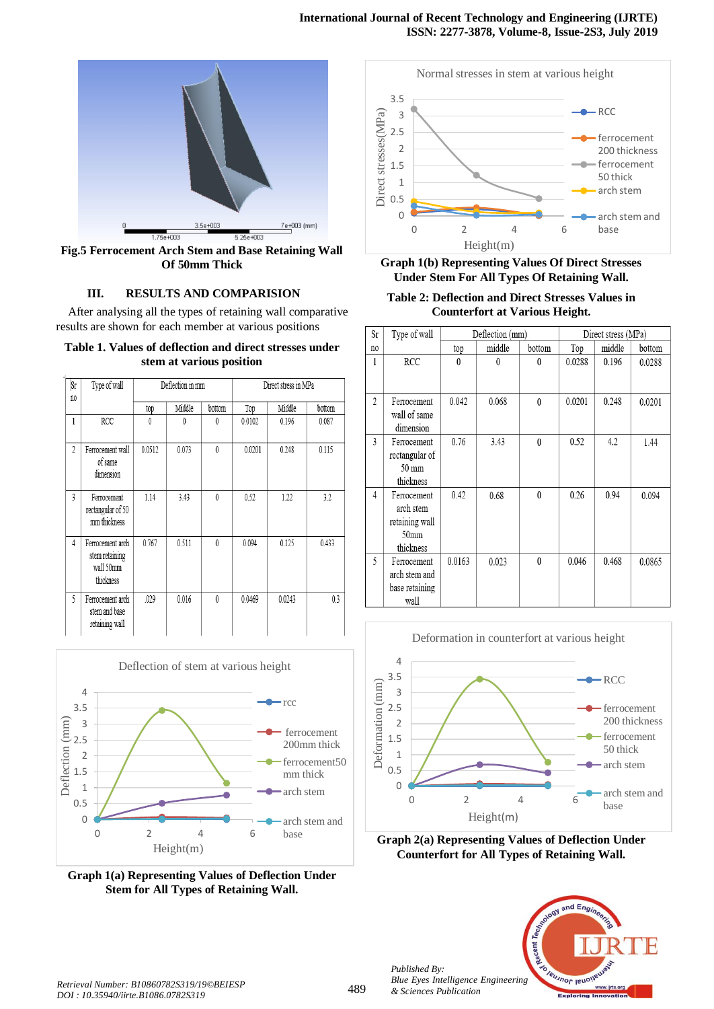

**Fig.5 Ferrocement Arch Stem and Base Retaining Wall Of 50mm Thick**

## **III. RESULTS AND COMPARISION**

After analysing all the types of retaining wall comparative results are shown for each member at various positions

| Table 1. Values of deflection and direct stresses under |
|---------------------------------------------------------|
| stem at various position                                |

| Sr<br>no | Type of wall                                                 | Deflection in mm |        |          | Direct stress in MPa |        |        |
|----------|--------------------------------------------------------------|------------------|--------|----------|----------------------|--------|--------|
|          |                                                              | top              | Middle | bottom   | Top                  | Middle | bottom |
| 1        | RCC                                                          | 0                | 0      | 0        | 0.0102               | 0.196  | 0.087  |
| 2        | Ferrocement wall<br>of same<br>dimension                     | 0.0512           | 0.073  | $\theta$ | 0.0201               | 0.248  | 0.115  |
| 3        | Ferrocement<br>rectangular of 50<br>mm thickness             | 1.14             | 3.43   | $\theta$ | 0.52                 | 1.22   | 3.2    |
| 4        | Ferrocement arch<br>stem retaining<br>wall 50mm<br>thickness | 0.767            | 0.511  | $\theta$ | 0.094                | 0.125  | 0.433  |
| 5        | Ferrocement arch<br>stem and base<br>retaining wall          | .029             | 0.016  | $\theta$ | 0.0469               | 0.0243 | 0.3    |



**Graph 1(a) Representing Values of Deflection Under Stem for All Types of Retaining Wall.**



## **Graph 1(b) Representing Values Of Direct Stresses Under Stem For All Types Of Retaining Wall.**

## **Table 2: Deflection and Direct Stresses Values in Counterfort at Various Height.**

| Sr             | Type of wall     | Deflection (mm) |        | Direct stress (MPa) |        |        |        |
|----------------|------------------|-----------------|--------|---------------------|--------|--------|--------|
| no             |                  | top             | middle | bottom              | Top    | middle | bottom |
| 1              | <b>RCC</b>       | 0               | 0      | 0                   | 0.0288 | 0.196  | 0.0288 |
|                |                  |                 |        |                     |        |        |        |
| $\overline{c}$ | Ferrocement      | 0.042           | 0.068  | $\theta$            | 0.0201 | 0.248  | 0.0201 |
|                | wall of same     |                 |        |                     |        |        |        |
|                | dimension        |                 |        |                     |        |        |        |
| 3              | Ferrocement      | 0.76            | 3.43   | $\mathbf{0}$        | 0.52   | 4.2    | 1.44   |
|                | rectangular of   |                 |        |                     |        |        |        |
|                | 50 mm            |                 |        |                     |        |        |        |
|                | thickness        |                 |        |                     |        |        |        |
| $\overline{4}$ | Ferrocement      | 0.42            | 0.68   | $\theta$            | 0.26   | 0.94   | 0.094  |
|                | arch stem        |                 |        |                     |        |        |        |
|                | retaining wall   |                 |        |                     |        |        |        |
|                | 50 <sub>mm</sub> |                 |        |                     |        |        |        |
|                | thickness        |                 |        |                     |        |        |        |
| 5              | Ferrocement      | 0.0163          | 0.023  | $\theta$            | 0.046  | 0.468  | 0.0865 |
|                | arch stem and    |                 |        |                     |        |        |        |
|                | base retaining   |                 |        |                     |        |        |        |
|                | wall             |                 |        |                     |        |        |        |



**Graph 2(a) Representing Values of Deflection Under Counterfort for All Types of Retaining Wall.**



*Published By:*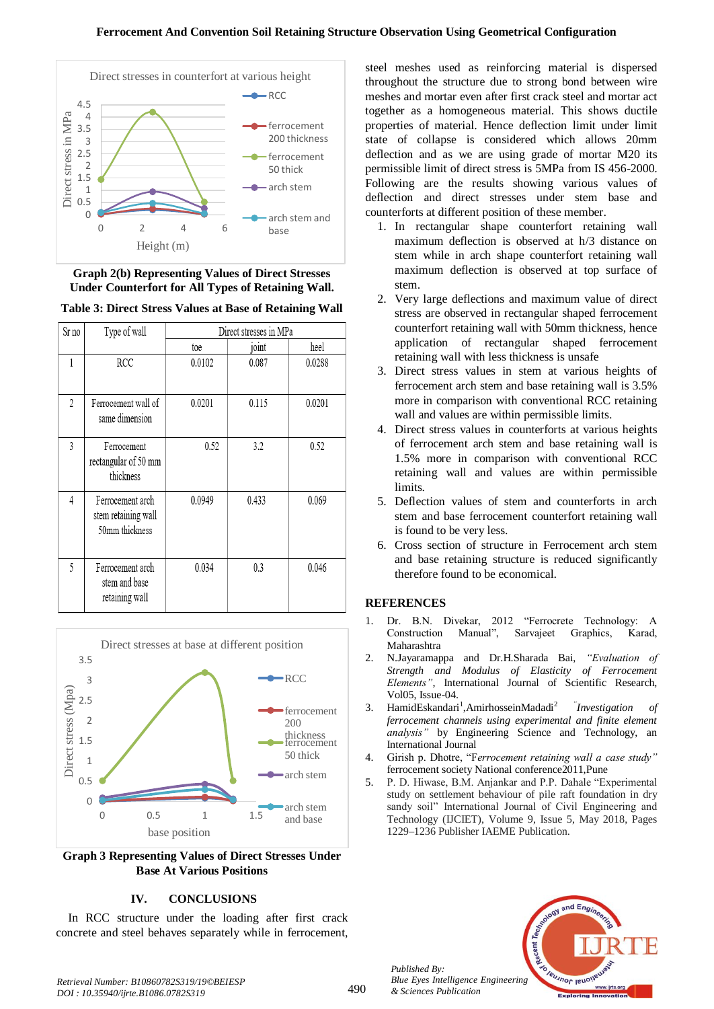

**Graph 2(b) Representing Values of Direct Stresses Under Counterfort for All Types of Retaining Wall.**

**Table 3: Direct Stress Values at Base of Retaining Wall**

| Sr no | Type of wall<br>Direct stresses in MPa                    |        |       |        |
|-------|-----------------------------------------------------------|--------|-------|--------|
|       |                                                           | toe    | joint | heel   |
| 1     | RCC                                                       | 0.0102 | 0.087 | 0.0288 |
| 2     | Ferrocement wall of<br>same dimension                     | 0.0201 | 0.115 | 0.0201 |
| 3     | Ferrocement<br>rectangular of 50 mm<br>thickness          | 0.52   | 3.2   | 0.52   |
| 4     | Ferrocement arch<br>stem retaining wall<br>50mm thickness | 0.0949 | 0.433 | 0.069  |
| 5     | Ferrocement arch<br>stem and base<br>retaining wall       | 0.034  | 0.3   | 0.046  |



**Graph 3 Representing Values of Direct Stresses Under Base At Various Positions** 

# **IV. CONCLUSIONS**

In RCC structure under the loading after first crack concrete and steel behaves separately while in ferrocement, steel meshes used as reinforcing material is dispersed throughout the structure due to strong bond between wire meshes and mortar even after first crack steel and mortar act together as a homogeneous material. This shows ductile properties of material. Hence deflection limit under limit state of collapse is considered which allows 20mm deflection and as we are using grade of mortar M20 its permissible limit of direct stress is 5MPa from IS 456-2000. Following are the results showing various values of deflection and direct stresses under stem base and counterforts at different position of these member.

- 1. In rectangular shape counterfort retaining wall maximum deflection is observed at h/3 distance on stem while in arch shape counterfort retaining wall maximum deflection is observed at top surface of stem.
- 2. Very large deflections and maximum value of direct stress are observed in rectangular shaped ferrocement counterfort retaining wall with 50mm thickness, hence application of rectangular shaped ferrocement retaining wall with less thickness is unsafe
- 3. Direct stress values in stem at various heights of ferrocement arch stem and base retaining wall is 3.5% more in comparison with conventional RCC retaining wall and values are within permissible limits.
- 4. Direct stress values in counterforts at various heights of ferrocement arch stem and base retaining wall is 1.5% more in comparison with conventional RCC retaining wall and values are within permissible limits.
- 5. Deflection values of stem and counterforts in arch stem and base ferrocement counterfort retaining wall is found to be very less.
- 6. Cross section of structure in Ferrocement arch stem and base retaining structure is reduced significantly therefore found to be economical.

# **REFERENCES**

- 1. Dr. B.N. Divekar, 2012 "Ferrocrete Technology: A Construction Manual", Sarvajeet Graphics, Karad, Maharashtra
- 2. N.Jayaramappa and Dr.H.Sharada Bai, *"Evaluation of Strength and Modulus of Elasticity of Ferrocement Elements"*, International Journal of Scientific Research, Vol05, Issue-04.
- 3. [HamidEskandari](https://www.sciencedirect.com/science/article/pii/S2215098615000798#!)<sup>1</sup>, AmirhosseinMadadi<sup>2</sup><sup>7</sup> *Investigation of ferrocement channels using experimental and finite element analysis"* by [Engineering Science and Technology, an](https://www.sciencedirect.com/science/journal/22150986)  [International Journal](https://www.sciencedirect.com/science/journal/22150986)
- 4. Girish p. Dhotre, "F*errocement retaining wall a case study"* ferrocement society National conference2011,Pune
- 5. P. D. Hiwase, B.M. Anjankar and P.P. Dahale "Experimental study on settlement behaviour of pile raft foundation in dry sandy soil" International Journal of Civil Engineering and Technology (IJCIET), Volume 9, Issue 5, May 2018, Pages 1229–1236 Publisher IAEME Publication.



*Retrieval Number: B10860782S319/19©BEIESP DOI : 10.35940/ijrte.B1086.0782S319*

*Published By:*